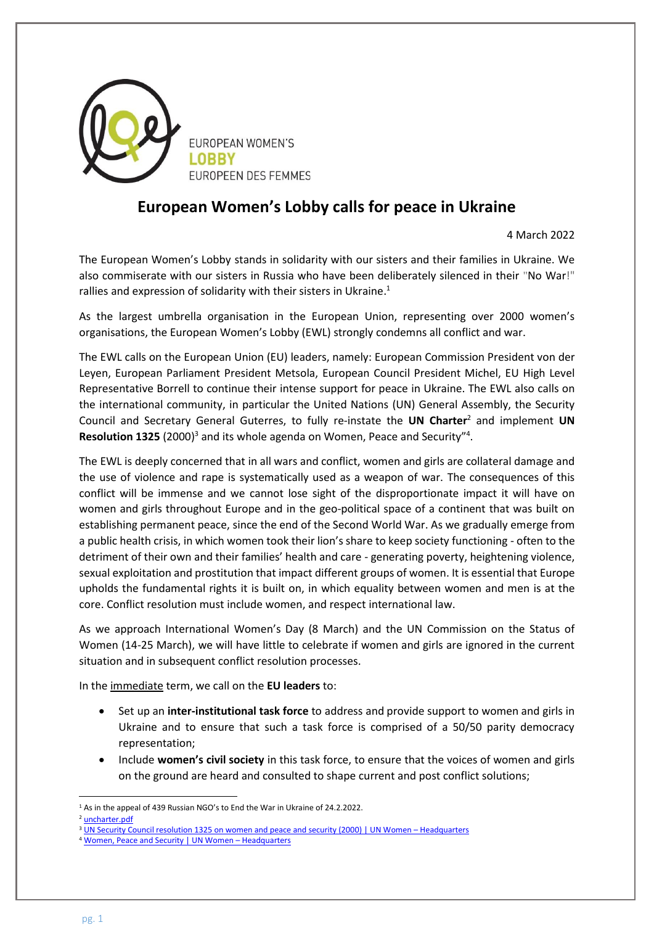

## **European Women's Lobby calls for peace in Ukraine**

4 March 2022

The European Women's Lobby stands in solidarity with our sisters and their families in Ukraine. We also commiserate with our sisters in Russia who have been deliberately silenced in their "No War!" rallies and expression of solidarity with their sisters in Ukraine.<sup>1</sup>

As the largest umbrella organisation in the European Union, representing over 2000 women's organisations, the European Women's Lobby (EWL) strongly condemns all conflict and war.

The EWL calls on the European Union (EU) leaders, namely: European Commission President von der Leyen, European Parliament President Metsola, European Council President Michel, EU High Level Representative Borrell to continue their intense support for peace in Ukraine. The EWL also calls on the international community, in particular the United Nations (UN) General Assembly, the Security Council and Secretary General Guterres, to fully re-instate the **UN Charter**<sup>2</sup> and implement **UN**  Resolution 1325 (2000)<sup>3</sup> and its whole agenda on Women, Peace and Security<sup>"4</sup>.

The EWL is deeply concerned that in all wars and conflict, women and girls are collateral damage and the use of violence and rape is systematically used as a weapon of war. The consequences of this conflict will be immense and we cannot lose sight of the disproportionate impact it will have on women and girls throughout Europe and in the geo-political space of a continent that was built on establishing permanent peace, since the end of the Second World War. As we gradually emerge from a public health crisis, in which women took their lion's share to keep society functioning - often to the detriment of their own and their families' health and care - generating poverty, heightening violence, sexual exploitation and prostitution that impact different groups of women. It is essential that Europe upholds the fundamental rights it is built on, in which equality between women and men is at the core. Conflict resolution must include women, and respect international law.

As we approach International Women's Day (8 March) and the UN Commission on the Status of Women (14-25 March), we will have little to celebrate if women and girls are ignored in the current situation and in subsequent conflict resolution processes.

In the immediate term, we call on the **EU leaders** to:

- Set up an **inter-institutional task force** to address and provide support to women and girls in Ukraine and to ensure that such a task force is comprised of a 50/50 parity democracy representation;
- Include **women's civil society** in this task force, to ensure that the voices of women and girls on the ground are heard and consulted to shape current and post conflict solutions;

 $\overline{a}$ <sup>1</sup> As in the appeal of 439 Russian NGO's to End the War in Ukraine of 24.2.2022.

<sup>2</sup> [uncharter.pdf](https://treaties.un.org/doc/Publication/CTC/uncharter.pdf)

<sup>3</sup> [UN Security Council resolution 1325 on women and peace and security \(2000\) | UN Women](https://www.unwomen.org/en/docs/2000/10/un-security-council-resolution-1325#:~:text=UN%20Security%20Council%20resolution%201325%20on%20women%20and,stresses%20the%20importance%20of%20their%20equal%20participation%20) – Headquarters

<sup>4</sup> [Women, Peace and Security | UN Women](https://www.unwomen.org/en/news/in-focus/women-peace-security) - Headquarters